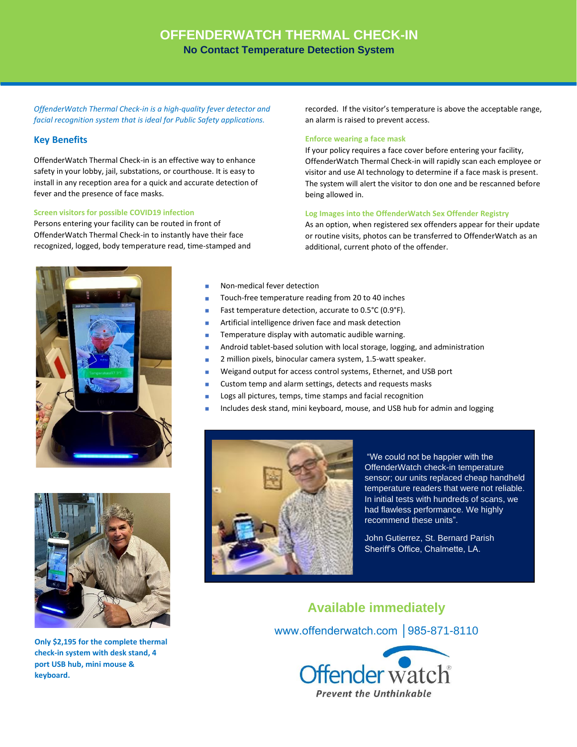## **OFFENDERWATCH THERMAL CHECK-IN No Contact Temperature Detection System**

*OffenderWatch Thermal Check-in is a high-quality fever detector and facial recognition system that is ideal for Public Safety applications.* 

### **Key Benefits**

OffenderWatch Thermal Check-in is an effective way to enhance safety in your lobby, jail, substations, or courthouse. It is easy to install in any reception area for a quick and accurate detection of fever and the presence of face masks.

#### **Screen visitors for possible COVID19 infection**

Persons entering your facility can be routed in front of OffenderWatch Thermal Check-in to instantly have their face recognized, logged, body temperature read, time-stamped and recorded. If the visitor's temperature is above the acceptable range, an alarm is raised to prevent access.

#### **Enforce wearing a face mask**

If your policy requires a face cover before entering your facility, OffenderWatch Thermal Check-in will rapidly scan each employee or visitor and use AI technology to determine if a face mask is present. The system will alert the visitor to don one and be rescanned before being allowed in.

#### **Log Images into the OffenderWatch Sex Offender Registry**

As an option, when registered sex offenders appear for their update or routine visits, photos can be transferred to OffenderWatch as an additional, current photo of the offender.



- Non-medical fever detection
- Touch-free temperature reading from 20 to 40 inches
- Fast temperature detection, accurate to 0.5°C (0.9°F).
- Artificial intelligence driven face and mask detection ٠
- Temperature display with automatic audible warning. Ē.
- Android tablet-based solution with local storage, logging, and administration
- 2 million pixels, binocular camera system, 1.5-watt speaker.
- Weigand output for access control systems, Ethernet, and USB port ٠
- Custom temp and alarm settings, detects and requests masks
- Logs all pictures, temps, time stamps and facial recognition
- Includes desk stand, mini keyboard, mouse, and USB hub for admin and logging



**Only \$2,195 for the complete thermal check-in system with desk stand, 4 port USB hub, mini mouse & keyboard.**



"We could not be happier with the OffenderWatch check-in temperature sensor; our units replaced cheap handheld temperature readers that were not reliable. In initial tests with hundreds of scans, we had flawless performance. We highly recommend these units".

John Gutierrez, St. Bernard Parish Sheriff's Office, Chalmette, LA.

**Available immediately** www.offenderwatch.com │985-871-8110